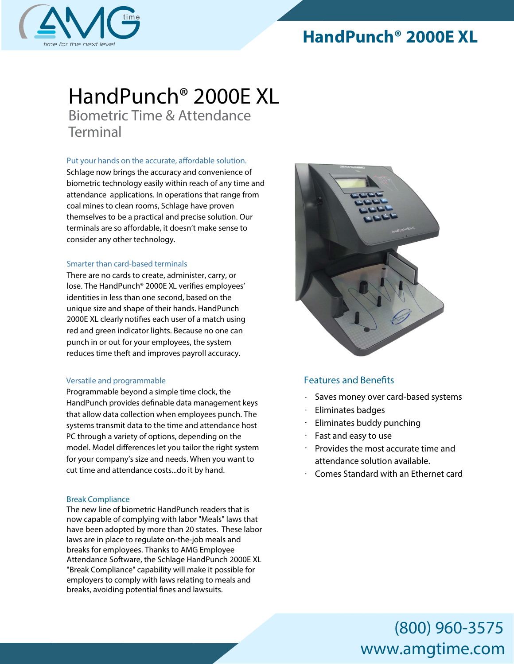# **HandPunch® 2000E XL**



### *HandPunch® 2000*E XL *Biometric Time & Attendance*

*Terminal*

Put your hands on the accurate, affordable solution.

Schlage now brings the accuracy and convenience of biometric technology easily within reach of any time and attendance applications. In operations that range from coal mines to clean rooms, Schlage have proven themselves to be a practical and precise solution. Our terminals are so affordable, it doesn't make sense to consider any other technology.

### *Smarter than card-based terminals*

There are no cards to create, administer, carry, or lose. The HandPunch® 2000E XL verifies employees' identities in less than one second, based on the unique size and shape of their hands. HandPunch 2000E XL clearly notifies each user of a match using red and green indicator lights. Because no one can punch in or out for your employees, the system reduces time theft and improves payroll accuracy.

### *Versatile and programmable*

Programmable beyond a simple time clock, the HandPunch provides definable data management keys that allow data collection when employees punch. The systems transmit data to the time and attendance host PC through a variety of options, depending on the model. Model differences let you tailor the right system for your company's size and needs. When you want to cut time and attendance costs...do it by hand.

### Break Compliance

The new line of biometric HandPunch readers that is now capable of complying with labor "Meals" laws that have been adopted by more than 20 states. These labor laws are in place to regulate on-the-job meals and breaks for employees. Thanks to AMG Employee Attendance Software, the Schlage HandPunch 2000E XL "Break Compliance" capability will make it possible for employers to comply with laws relating to meals and breaks, avoiding potential fines and lawsuits.



### **Features and Benefits**

- Saves money over card-based systems
- Eliminates badges
- Eliminates buddy punching
- Fast and easy to use
- Provides the most accurate time and attendance solution available.
- Comes Standard with an Ethernet card

# (800) 960-3575 www.amgtime.com